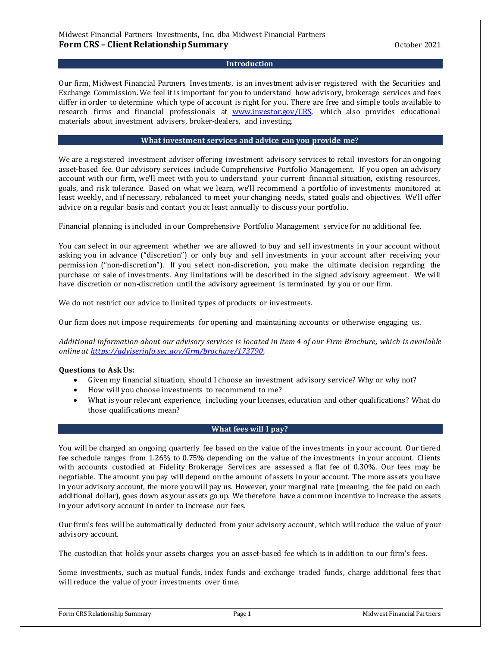#### Midwest Financial Partners Investments, Inc. dba Midwest Financial Partners **Form CRS – Client Relationship Summary <b>Example 2021** 2021

#### **Introduction**

Our firm, Midwest Financial Partners Investments, is an investment adviser registered with the Securities and Exchange Commission. We feel it is important for you to understand how advisory, brokerage services and fees differ in order to determine which type of account is right for you. There are free and simple tools available to research firms and financial professionals at [www.investor.gov/CRS,](http://www.investor.gov/CRS) which also provides educational materials about investment advisers, broker-dealers, and investing.

#### **What investment services and advice can you provide me?**

We are a registered investment adviser offering investment advisory services to retail investors for an ongoing asset-based fee. Our advisory services include Comprehensive Portfolio Management. If you open an advisory account with our firm, we'll meet with you to understand your current financial situation, existing resources, goals, and risk tolerance. Based on what we learn, we'll recommend a portfolio of investments monitored at least weekly, and if necessary, rebalanced to meet your changing needs, stated goals and objectives. We'll offer advice on a regular basis and contact you at least annually to discuss your portfolio.

Financial planning is included in our Comprehensive Portfolio Management service for no additional fee.

You can select in our agreement whether we are allowed to buy and sell investments in your account without asking you in advance ("discretion") or only buy and sell investments in your account after receiving your permission ("non-discretion"). If you select non-discretion, you make the ultimate decision regarding the purchase or sale of investments. Any limitations will be described in the signed advisory agreement. We will have discretion or non-discretion until the advisory agreement is terminated by you or our firm.

We do not restrict our advice to limited types of products or investments.

Our firm does not impose requirements for opening and maintaining accounts or otherwise engaging us.

*Additional information about our advisory services is located in Item 4 of our Firm Brochure, which is available online at [https://adviserinfo.sec.gov/firm/brochure/173790.](https://adviserinfo.sec.gov/firm/brochure/173790)*

#### **Questions to Ask Us:**

- Given my financial situation, should I choose an investment advisory service? Why or why not?
- How will you choose investments to recommend to me?
- What is your relevant experience, including your licenses, education and other qualifications? What do those qualifications mean?

#### **What fees will I pay?**

You will be charged an ongoing quarterly fee based on the value of the investments in your account. Our tiered fee schedule ranges from 1.26% to 0.75% depending on the value of the investments in your account. Clients with accounts custodied at Fidelity Brokerage Services are assessed a flat fee of 0.30%. Our fees may be negotiable. The amount you pay will depend on the amount of assets in your account. The more assets you have in your advisory account, the more you will pay us. However, your marginal rate (meaning, the fee paid on each additional dollar), goes down as your assets go up. We therefore have a common incentive to increase the assets in your advisory account in order to increase our fees.

Our firm's fees will be automatically deducted from your advisory account, which will reduce the value of your advisory account.

The custodian that holds your assets charges you an asset-based fee which is in addition to our firm's fees.

Some investments, such as mutual funds, index funds and exchange traded funds, charge additional fees that will reduce the value of your investments over time.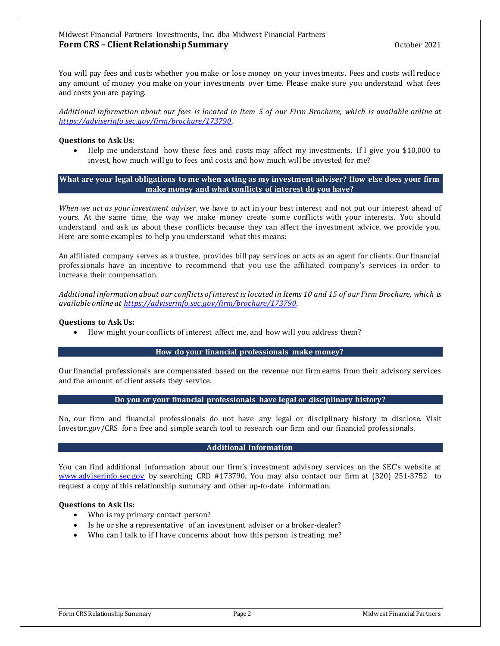#### Midwest Financial Partners Investments, Inc. dba Midwest Financial Partners **Form CRS – Client Relationship Summary <b>Example 2021** 2021

You will pay fees and costs whether you make or lose money on your investments. Fees and costs will reduce any amount of money you make on your investments over time. Please make sure you understand what fees and costs you are paying.

*Additional information about our fees is located in Item 5 of our Firm Brochure, which is available online at [https://adviserinfo.sec.gov/firm/brochure/173790.](https://adviserinfo.sec.gov/firm/brochure/173790)* 

#### **Questions to Ask Us:**

• Help me understand how these fees and costs may affect my investments. If I give you \$10,000 to invest, how much will go to fees and costs and how much will be invested for me?

**What are your legal obligations to me when acting as my investment adviser? How else does your firm make money and what conflicts of interest do you have?**

*When we act as your investment adviser*, we have to act in your best interest and not put our interest ahead of yours. At the same time, the way we make money create some conflicts with your interests. You should understand and ask us about these conflicts because they can affect the investment advice, we provide you. Here are some examples to help you understand what this means:

An affiliated company serves as a trustee, provides bill pay services or acts as an agent for clients. Our financial professionals have an incentive to recommend that you use the affiliated company's services in order to increase their compensation.

*Additional information about our conflicts of interest is located in Items 10 and 15 of our Firm Brochure, which is available online at [https://adviserinfo.sec.gov/firm/brochure/173790.](https://adviserinfo.sec.gov/firm/brochure/173790)* 

#### **Questions to Ask Us:**

• How might your conflicts of interest affect me, and how will you address them?

#### **How do your financial professionals make money?**

Our financial professionals are compensated based on the revenue our firm earns from their advisory services and the amount of client assets they service.

#### **Do you or your financial professionals have legal or disciplinary history?**

No, our firm and financial professionals do not have any legal or disciplinary history to disclose. Visit Investor.gov/CRS for a free and simple search tool to research our firm and our financial professionals.

#### **Additional Information**

You can find additional information about our firm's investment advisory services on the SEC's website at [www.adviserinfo.sec.gov](http://www.adviserinfo.sec.gov/) by searching CRD #173790. You may also contact our firm at (320) 251-3752 to request a copy of this relationship summary and other up-to-date information.

#### **Questions to Ask Us:**

- Who is my primary contact person?
- Is he or she a representative of an investment adviser or a broker-dealer?
- Who can I talk to if I have concerns about how this person is treating me?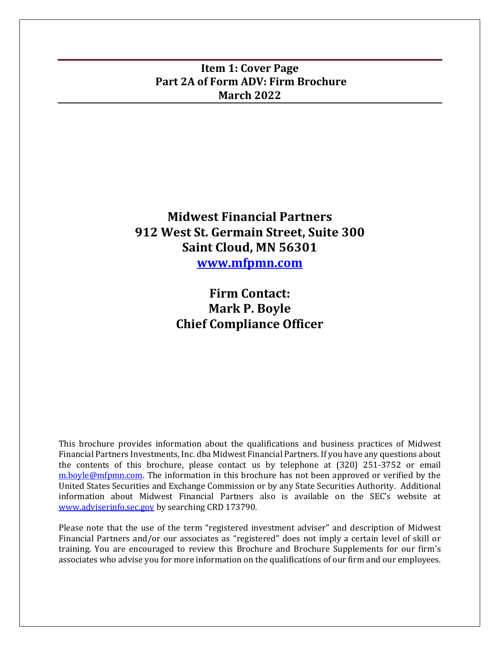# <span id="page-2-0"></span>**Item 1: Cover Page Part 2A of Form ADV: Firm Brochure March 2022**

# **Midwest Financial Partners 912 West St. Germain Street, Suite 300 Saint Cloud, MN 56301 [www.mfpmn.com](http://www.mfpmn.com/)**

# **Firm Contact: Mark P. Boyle Chief Compliance Officer**

This brochure provides information about the qualifications and business practices of Midwest Financial Partners Investments, Inc. dba Midwest Financial Partners. If you have any questions about the contents of this brochure, please contact us by telephone at (320) 251-3752 or email [m.boyle@mfpmn.com.](mailto:m.boyle@mfpmn.com) The information in this brochure has not been approved or verified by the United States Securities and Exchange Commission or by any State Securities Authority. Additional information about Midwest Financial Partners also is available on the SEC's website at [www.adviserinfo.sec.gov](http://www.adviserinfo.sec.gov/) by searching CRD 173790.

Please note that the use of the term "registered investment adviser" and description of Midwest Financial Partners and/or our associates as "registered" does not imply a certain level of skill or training. You are encouraged to review this Brochure and Brochure Supplements for our firm's associates who advise you for more information on the qualifications of our firm and our employees.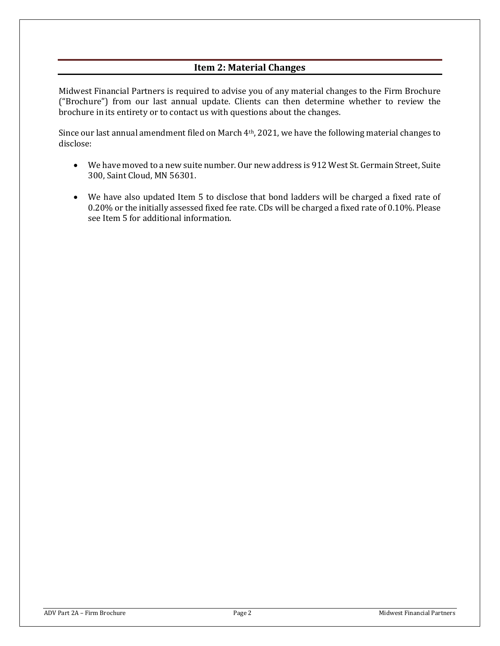# **Item 2: Material Changes**

<span id="page-3-0"></span>Midwest Financial Partners is required to advise you of any material changes to the Firm Brochure ("Brochure") from our last annual update. Clients can then determine whether to review the brochure in its entirety or to contact us with questions about the changes.

Since our last annual amendment filed on March 4th, 2021, we have the following material changes to disclose:

- We have moved to a new suite number. Our new address is 912 West St. Germain Street, Suite 300, Saint Cloud, MN 56301.
- We have also updated Item 5 to disclose that bond ladders will be charged a fixed rate of 0.20% or the initially assessed fixed fee rate. CDs will be charged a fixed rate of 0.10%. Please see Item 5 for additional information.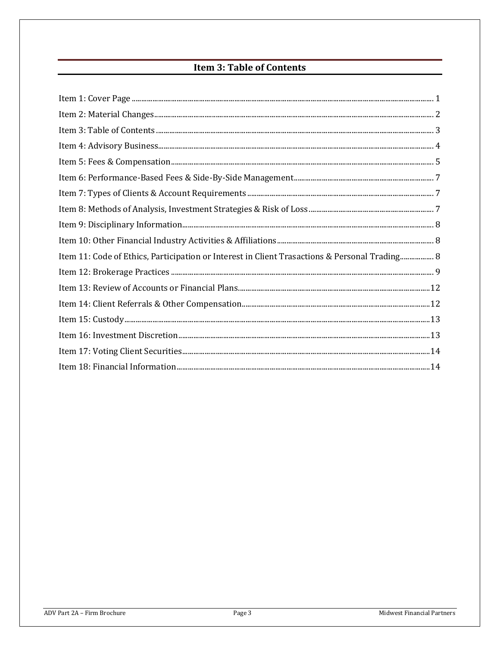# **Item 3: Table of Contents**

<span id="page-4-0"></span>

| Item 11: Code of Ethics, Participation or Interest in Client Trasactions & Personal Trading 8 |  |
|-----------------------------------------------------------------------------------------------|--|
|                                                                                               |  |
|                                                                                               |  |
|                                                                                               |  |
|                                                                                               |  |
|                                                                                               |  |
|                                                                                               |  |
|                                                                                               |  |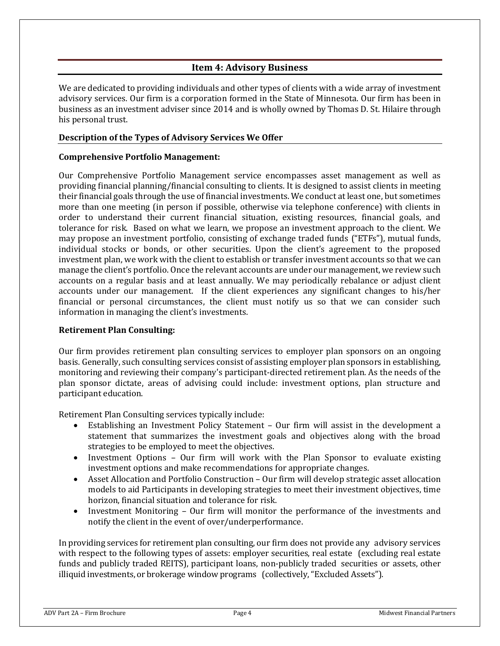# **Item 4: Advisory Business**

<span id="page-5-0"></span>We are dedicated to providing individuals and other types of clients with a wide array of investment advisory services. Our firm is a corporation formed in the State of Minnesota. Our firm has been in business as an investment adviser since 2014 and is wholly owned by Thomas D. St. Hilaire through his personal trust.

## **Description of the Types of Advisory Services We Offer**

## **Comprehensive Portfolio Management:**

Our Comprehensive Portfolio Management service encompasses asset management as well as providing financial planning/financial consulting to clients. It is designed to assist clients in meeting their financial goals through the use of financial investments. We conduct at least one, but sometimes more than one meeting (in person if possible, otherwise via telephone conference) with clients in order to understand their current financial situation, existing resources, financial goals, and tolerance for risk. Based on what we learn, we propose an investment approach to the client. We may propose an investment portfolio, consisting of exchange traded funds ("ETFs"), mutual funds, individual stocks or bonds, or other securities. Upon the client's agreement to the proposed investment plan, we work with the client to establish or transfer investment accounts so that we can manage the client's portfolio. Once the relevant accounts are under our management, we review such accounts on a regular basis and at least annually. We may periodically rebalance or adjust client accounts under our management. If the client experiences any significant changes to his/her financial or personal circumstances, the client must notify us so that we can consider such information in managing the client's investments.

#### **Retirement Plan Consulting:**

Our firm provides retirement plan consulting services to employer plan sponsors on an ongoing basis. Generally, such consulting services consist of assisting employer plan sponsors in establishing, monitoring and reviewing their company's participant-directed retirement plan. As the needs of the plan sponsor dictate, areas of advising could include: investment options, plan structure and participant education.

Retirement Plan Consulting services typically include:

- Establishing an Investment Policy Statement Our firm will assist in the development a statement that summarizes the investment goals and objectives along with the broad strategies to be employed to meet the objectives.
- Investment Options Our firm will work with the Plan Sponsor to evaluate existing investment options and make recommendations for appropriate changes.
- Asset Allocation and Portfolio Construction Our firm will develop strategic asset allocation models to aid Participants in developing strategies to meet their investment objectives, time horizon, financial situation and tolerance for risk.
- Investment Monitoring Our firm will monitor the performance of the investments and notify the client in the event of over/underperformance.

In providing services for retirement plan consulting, our firm does not provide any advisory services with respect to the following types of assets: employer securities, real estate (excluding real estate funds and publicly traded REITS), participant loans, non-publicly traded securities or assets, other illiquid investments, or brokerage window programs (collectively, "Excluded Assets").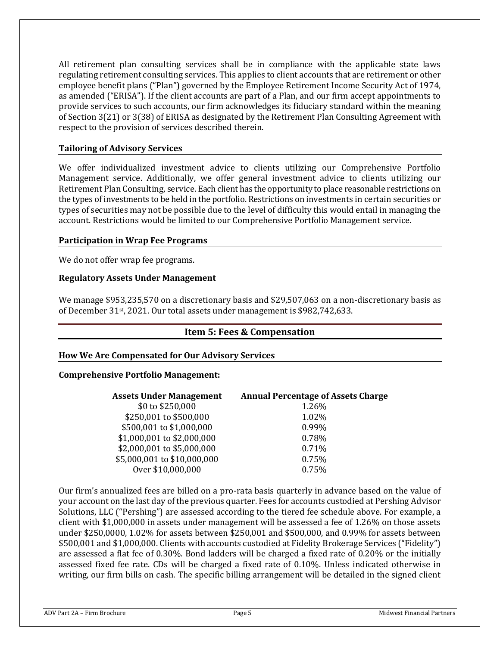All retirement plan consulting services shall be in compliance with the applicable state laws regulating retirement consulting services. This applies to client accounts that are retirement or other employee benefit plans ("Plan") governed by the Employee Retirement Income Security Act of 1974, as amended ("ERISA"). If the client accounts are part of a Plan, and our firm accept appointments to provide services to such accounts, our firm acknowledges its fiduciary standard within the meaning of Section 3(21) or 3(38) of ERISA as designated by the Retirement Plan Consulting Agreement with respect to the provision of services described therein.

## **Tailoring of Advisory Services**

We offer individualized investment advice to clients utilizing our Comprehensive Portfolio Management service. Additionally, we offer general investment advice to clients utilizing our Retirement Plan Consulting, service. Each client has the opportunity to place reasonable restrictions on the types of investments to be held in the portfolio. Restrictions on investments in certain securities or types of securities may not be possible due to the level of difficulty this would entail in managing the account. Restrictions would be limited to our Comprehensive Portfolio Management service.

#### **Participation in Wrap Fee Programs**

We do not offer wrap fee programs.

## **Regulatory Assets Under Management**

We manage \$953,235,570 on a discretionary basis and \$29,507,063 on a non-discretionary basis as of December 31st, 2021. Our total assets under management is \$982,742,633.

## **Item 5: Fees & Compensation**

#### <span id="page-6-0"></span>**How We Are Compensated for Our Advisory Services**

#### **Comprehensive Portfolio Management:**

| <b>Assets Under Management</b> | <b>Annual Percentage of Assets Charge</b> |
|--------------------------------|-------------------------------------------|
| \$0 to \$250,000               | 1.26%                                     |
| \$250,001 to \$500,000         | 1.02%                                     |
| \$500,001 to \$1,000,000       | 0.99%                                     |
| \$1,000,001 to \$2,000,000     | 0.78%                                     |
| \$2,000,001 to \$5,000,000     | 0.71%                                     |
| \$5,000,001 to \$10,000,000    | 0.75%                                     |
| Over \$10,000,000              | 0.75%                                     |
|                                |                                           |

Our firm's annualized fees are billed on a pro-rata basis quarterly in advance based on the value of your account on the last day of the previous quarter. Fees for accounts custodied at Pershing Advisor Solutions, LLC ("Pershing") are assessed according to the tiered fee schedule above. For example, a client with \$1,000,000 in assets under management will be assessed a fee of 1.26% on those assets under \$250,0000, 1.02% for assets between \$250,001 and \$500,000, and 0.99% for assets between \$500,001 and \$1,000,000. Clients with accounts custodied at Fidelity Brokerage Services ("Fidelity") are assessed a flat fee of 0.30%. Bond ladders will be charged a fixed rate of 0.20% or the initially assessed fixed fee rate. CDs will be charged a fixed rate of 0.10%. Unless indicated otherwise in writing, our firm bills on cash. The specific billing arrangement will be detailed in the signed client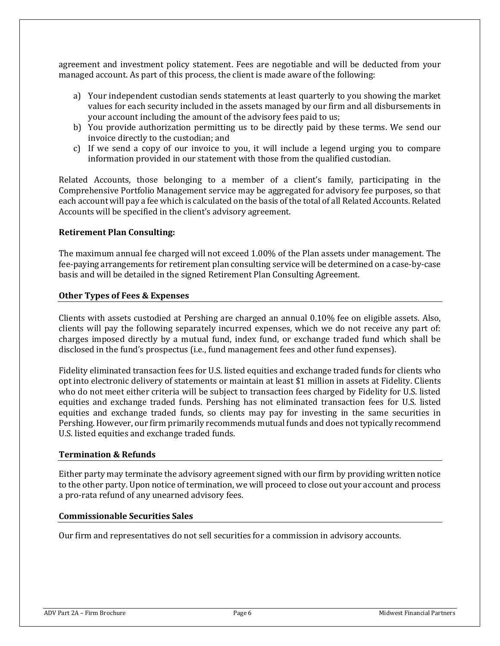agreement and investment policy statement. Fees are negotiable and will be deducted from your managed account. As part of this process, the client is made aware of the following:

- a) Your independent custodian sends statements at least quarterly to you showing the market values for each security included in the assets managed by our firm and all disbursements in your account including the amount of the advisory fees paid to us;
- b) You provide authorization permitting us to be directly paid by these terms. We send our invoice directly to the custodian; and
- c) If we send a copy of our invoice to you, it will include a legend urging you to compare information provided in our statement with those from the qualified custodian.

Related Accounts, those belonging to a member of a client's family, participating in the Comprehensive Portfolio Management service may be aggregated for advisory fee purposes, so that each account will pay a fee which is calculated on the basis of the total of all Related Accounts. Related Accounts will be specified in the client's advisory agreement.

#### **Retirement Plan Consulting:**

The maximum annual fee charged will not exceed 1.00% of the Plan assets under management. The fee-paying arrangements for retirement plan consulting service will be determined on a case-by-case basis and will be detailed in the signed Retirement Plan Consulting Agreement.

#### **Other Types of Fees & Expenses**

Clients with assets custodied at Pershing are charged an annual 0.10% fee on eligible assets. Also, clients will pay the following separately incurred expenses, which we do not receive any part of: charges imposed directly by a mutual fund, index fund, or exchange traded fund which shall be disclosed in the fund's prospectus (i.e., fund management fees and other fund expenses).

Fidelity eliminated transaction fees for U.S. listed equities and exchange traded funds for clients who opt into electronic delivery of statements or maintain at least \$1 million in assets at Fidelity. Clients who do not meet either criteria will be subject to transaction fees charged by Fidelity for U.S. listed equities and exchange traded funds. Pershing has not eliminated transaction fees for U.S. listed equities and exchange traded funds, so clients may pay for investing in the same securities in Pershing. However, our firm primarily recommends mutual funds and does not typically recommend U.S. listed equities and exchange traded funds.

#### **Termination & Refunds**

Either party may terminate the advisory agreement signed with our firm by providing written notice to the other party. Upon notice of termination, we will proceed to close out your account and process a pro-rata refund of any unearned advisory fees.

### **Commissionable Securities Sales**

Our firm and representatives do not sell securities for a commission in advisory accounts.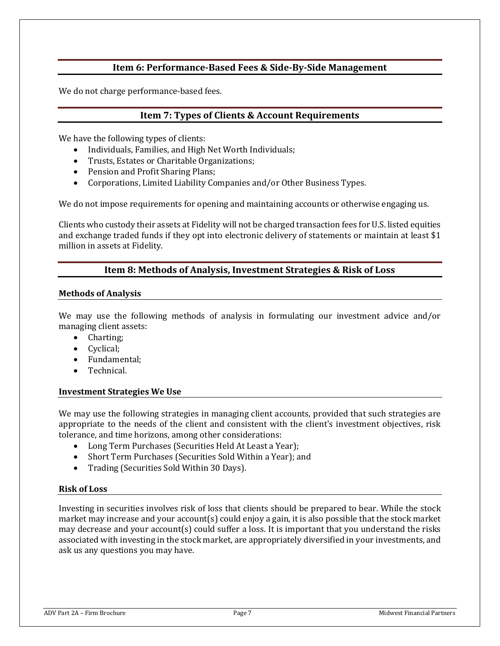## **Item 6: Performance-Based Fees & Side-By-Side Management**

<span id="page-8-1"></span><span id="page-8-0"></span>We do not charge performance-based fees.

## **Item 7: Types of Clients & Account Requirements**

We have the following types of clients:

- Individuals, Families, and High Net Worth Individuals;
- Trusts, Estates or Charitable Organizations;
- Pension and Profit Sharing Plans;
- Corporations, Limited Liability Companies and/or Other Business Types.

We do not impose requirements for opening and maintaining accounts or otherwise engaging us.

Clients who custody their assets at Fidelity will not be charged transaction fees for U.S. listed equities and exchange traded funds if they opt into electronic delivery of statements or maintain at least \$1 million in assets at Fidelity.

## **Item 8: Methods of Analysis, Investment Strategies & Risk of Loss**

#### <span id="page-8-2"></span>**Methods of Analysis**

We may use the following methods of analysis in formulating our investment advice and/or managing client assets:

- Charting:
- Cyclical;
- Fundamental;
- Technical.

#### **Investment Strategies We Use**

We may use the following strategies in managing client accounts, provided that such strategies are appropriate to the needs of the client and consistent with the client's investment objectives, risk tolerance, and time horizons, among other considerations:

- Long Term Purchases (Securities Held At Least a Year);
- Short Term Purchases (Securities Sold Within a Year); and
- Trading (Securities Sold Within 30 Days).

#### **Risk of Loss**

Investing in securities involves risk of loss that clients should be prepared to bear. While the stock market may increase and your account(s) could enjoy a gain, it is also possible that the stock market may decrease and your account(s) could suffer a loss. It is important that you understand the risks associated with investing in the stock market, are appropriately diversified in your investments, and ask us any questions you may have.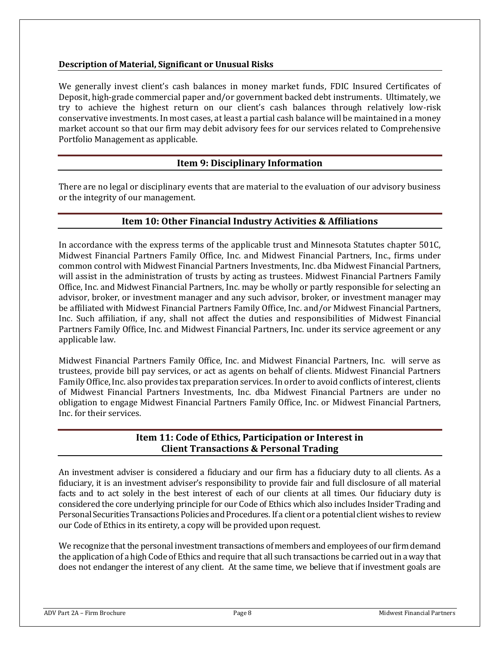## **Description of Material, Significant or Unusual Risks**

We generally invest client's cash balances in money market funds, FDIC Insured Certificates of Deposit, high-grade commercial paper and/or government backed debt instruments. Ultimately, we try to achieve the highest return on our client's cash balances through relatively low-risk conservative investments. In most cases, at least a partial cash balance will be maintained in a money market account so that our firm may debit advisory fees for our services related to Comprehensive Portfolio Management as applicable.

## **Item 9: Disciplinary Information**

<span id="page-9-0"></span>There are no legal or disciplinary events that are material to the evaluation of our advisory business or the integrity of our management.

## **Item 10: Other Financial Industry Activities & Affiliations**

<span id="page-9-1"></span>In accordance with the express terms of the applicable trust and Minnesota Statutes chapter 501C, Midwest Financial Partners Family Office, Inc. and Midwest Financial Partners, Inc., firms under common control with Midwest Financial Partners Investments, Inc. dba Midwest Financial Partners, will assist in the administration of trusts by acting as trustees. Midwest Financial Partners Family Office, Inc. and Midwest Financial Partners, Inc. may be wholly or partly responsible for selecting an advisor, broker, or investment manager and any such advisor, broker, or investment manager may be affiliated with Midwest Financial Partners Family Office, Inc. and/or Midwest Financial Partners, Inc. Such affiliation, if any, shall not affect the duties and responsibilities of Midwest Financial Partners Family Office, Inc. and Midwest Financial Partners, Inc. under its service agreement or any applicable law.

Midwest Financial Partners Family Office, Inc. and Midwest Financial Partners, Inc. will serve as trustees, provide bill pay services, or act as agents on behalf of clients. Midwest Financial Partners Family Office, Inc. also provides tax preparation services. In order to avoid conflicts of interest, clients of Midwest Financial Partners Investments, Inc. dba Midwest Financial Partners are under no obligation to engage Midwest Financial Partners Family Office, Inc. or Midwest Financial Partners, Inc. for their services.

## **Item 11: Code of Ethics, Participation or Interest in Client Transactions & Personal Trading**

<span id="page-9-2"></span>An investment adviser is considered a fiduciary and our firm has a fiduciary duty to all clients. As a fiduciary, it is an investment adviser's responsibility to provide fair and full disclosure of all material facts and to act solely in the best interest of each of our clients at all times. Our fiduciary duty is considered the core underlying principle for our Code of Ethics which also includes Insider Trading and Personal Securities Transactions Policies and Procedures. If a client or a potential client wishes to review our Code of Ethics in its entirety, a copy will be provided upon request.

We recognize that the personal investment transactions of members and employees of our firm demand the application of a high Code of Ethics and require that all such transactions be carried out in a way that does not endanger the interest of any client. At the same time, we believe that if investment goals are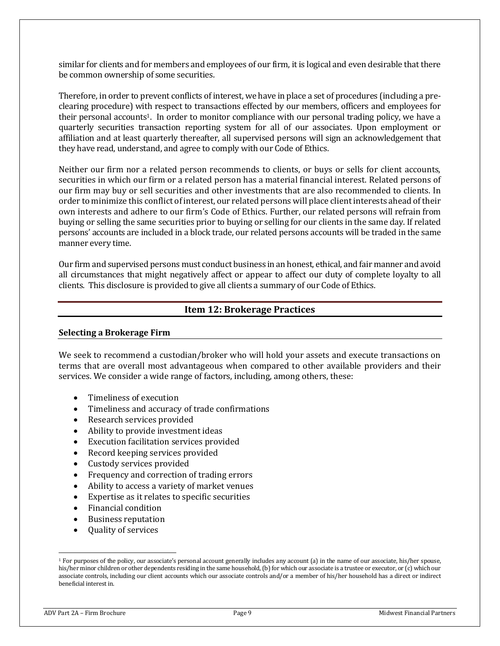similar for clients and for members and employees of our firm, it is logical and even desirable that there be common ownership of some securities.

Therefore, in order to prevent conflicts of interest, we have in place a set of procedures (including a preclearing procedure) with respect to transactions effected by our members, officers and employees for their personal accounts<sup>1</sup>. In order to monitor compliance with our personal trading policy, we have a quarterly securities transaction reporting system for all of our associates. Upon employment or affiliation and at least quarterly thereafter, all supervised persons will sign an acknowledgement that they have read, understand, and agree to comply with our Code of Ethics.

Neither our firm nor a related person recommends to clients, or buys or sells for client accounts, securities in which our firm or a related person has a material financial interest. Related persons of our firm may buy or sell securities and other investments that are also recommended to clients. In order to minimize this conflict of interest, our related persons will place client interests ahead of their own interests and adhere to our firm's Code of Ethics. Further, our related persons will refrain from buying or selling the same securities prior to buying or selling for our clients in the same day. If related persons' accounts are included in a block trade, our related persons accounts will be traded in the same manner every time.

Our firm and supervised persons must conduct business in an honest, ethical, and fair manner and avoid all circumstances that might negatively affect or appear to affect our duty of complete loyalty to all clients. This disclosure is provided to give all clients a summary of our Code of Ethics.

## **Item 12: Brokerage Practices**

#### <span id="page-10-0"></span>**Selecting a Brokerage Firm**

We seek to recommend a custodian/broker who will hold your assets and execute transactions on terms that are overall most advantageous when compared to other available providers and their services. We consider a wide range of factors, including, among others, these:

- Timeliness of execution
- Timeliness and accuracy of trade confirmations
- Research services provided
- Ability to provide investment ideas
- Execution facilitation services provided
- Record keeping services provided
- Custody services provided
- Frequency and correction of trading errors
- Ability to access a variety of market venues
- Expertise as it relates to specific securities
- Financial condition
- Business reputation
- Quality of services

<sup>&</sup>lt;sup>1</sup> For purposes of the policy, our associate's personal account generally includes any account (a) in the name of our associate, his/her spouse, his/her minor children or other dependents residing in the same household, (b) for which our associate is a trustee or executor, or (c) which our associate controls, including our client accounts which our associate controls and/or a member of his/her household has a direct or indirect beneficial interest in.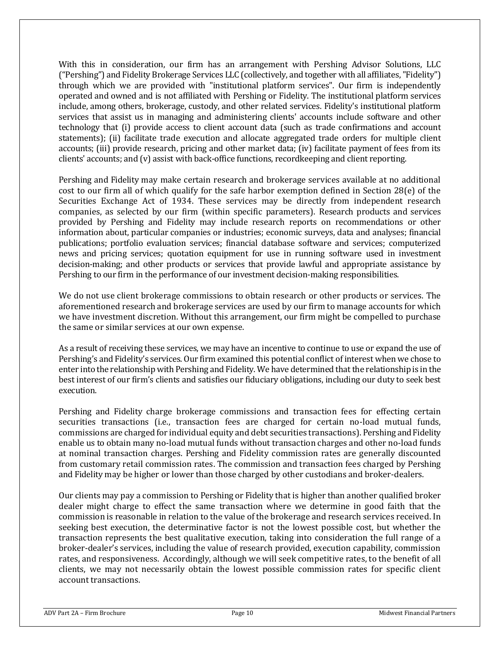With this in consideration, our firm has an arrangement with Pershing Advisor Solutions, LLC ("Pershing") and Fidelity Brokerage Services LLC (collectively, and together with all affiliates, "Fidelity") through which we are provided with "institutional platform services". Our firm is independently operated and owned and is not affiliated with Pershing or Fidelity. The institutional platform services include, among others, brokerage, custody, and other related services. Fidelity's institutional platform services that assist us in managing and administering clients' accounts include software and other technology that (i) provide access to client account data (such as trade confirmations and account statements); (ii) facilitate trade execution and allocate aggregated trade orders for multiple client accounts; (iii) provide research, pricing and other market data; (iv) facilitate payment of fees from its clients' accounts; and (v) assist with back-office functions, recordkeeping and client reporting.

Pershing and Fidelity may make certain research and brokerage services available at no additional cost to our firm all of which qualify for the safe harbor exemption defined in Section 28(e) of the Securities Exchange Act of 1934. These services may be directly from independent research companies, as selected by our firm (within specific parameters). Research products and services provided by Pershing and Fidelity may include research reports on recommendations or other information about, particular companies or industries; economic surveys, data and analyses; financial publications; portfolio evaluation services; financial database software and services; computerized news and pricing services; quotation equipment for use in running software used in investment decision-making; and other products or services that provide lawful and appropriate assistance by Pershing to our firm in the performance of our investment decision-making responsibilities.

We do not use client brokerage commissions to obtain research or other products or services. The aforementioned research and brokerage services are used by our firm to manage accounts for which we have investment discretion. Without this arrangement, our firm might be compelled to purchase the same or similar services at our own expense.

As a result of receiving these services, we may have an incentive to continue to use or expand the use of Pershing's and Fidelity's services. Our firm examined this potential conflict of interest when we chose to enter into the relationship with Pershing and Fidelity. We have determined that the relationship is in the best interest of our firm's clients and satisfies our fiduciary obligations, including our duty to seek best execution.

Pershing and Fidelity charge brokerage commissions and transaction fees for effecting certain securities transactions (i.e., transaction fees are charged for certain no-load mutual funds, commissions are charged for individual equity and debt securities transactions). Pershing and Fidelity enable us to obtain many no-load mutual funds without transaction charges and other no-load funds at nominal transaction charges. Pershing and Fidelity commission rates are generally discounted from customary retail commission rates. The commission and transaction fees charged by Pershing and Fidelity may be higher or lower than those charged by other custodians and broker-dealers.

Our clients may pay a commission to Pershing or Fidelity that is higher than another qualified broker dealer might charge to effect the same transaction where we determine in good faith that the commission is reasonable in relation to the value of the brokerage and research services received. In seeking best execution, the determinative factor is not the lowest possible cost, but whether the transaction represents the best qualitative execution, taking into consideration the full range of a broker-dealer's services, including the value of research provided, execution capability, commission rates, and responsiveness. Accordingly, although we will seek competitive rates, to the benefit of all clients, we may not necessarily obtain the lowest possible commission rates for specific client account transactions.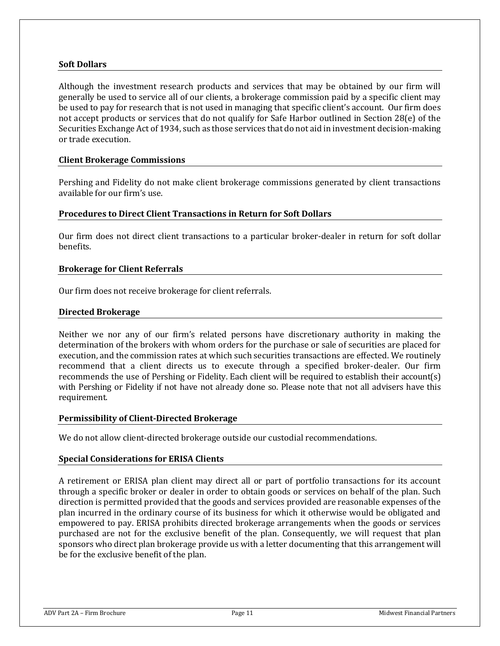#### **Soft Dollars**

Although the investment research products and services that may be obtained by our firm will generally be used to service all of our clients, a brokerage commission paid by a specific client may be used to pay for research that is not used in managing that specific client's account. Our firm does not accept products or services that do not qualify for Safe Harbor outlined in Section 28(e) of the Securities Exchange Act of 1934, such as those services that do not aid in investment decision-making or trade execution.

#### **Client Brokerage Commissions**

Pershing and Fidelity do not make client brokerage commissions generated by client transactions available for our firm's use.

#### **Procedures to Direct Client Transactions in Return for Soft Dollars**

Our firm does not direct client transactions to a particular broker-dealer in return for soft dollar benefits.

#### **Brokerage for Client Referrals**

Our firm does not receive brokerage for client referrals.

#### **Directed Brokerage**

Neither we nor any of our firm's related persons have discretionary authority in making the determination of the brokers with whom orders for the purchase or sale of securities are placed for execution, and the commission rates at which such securities transactions are effected. We routinely recommend that a client directs us to execute through a specified broker-dealer. Our firm recommends the use of Pershing or Fidelity. Each client will be required to establish their account(s) with Pershing or Fidelity if not have not already done so. Please note that not all advisers have this requirement.

#### **Permissibility of Client-Directed Brokerage**

We do not allow client-directed brokerage outside our custodial recommendations.

#### **Special Considerations for ERISA Clients**

A retirement or ERISA plan client may direct all or part of portfolio transactions for its account through a specific broker or dealer in order to obtain goods or services on behalf of the plan. Such direction is permitted provided that the goods and services provided are reasonable expenses of the plan incurred in the ordinary course of its business for which it otherwise would be obligated and empowered to pay. ERISA prohibits directed brokerage arrangements when the goods or services purchased are not for the exclusive benefit of the plan. Consequently, we will request that plan sponsors who direct plan brokerage provide us with a letter documenting that this arrangement will be for the exclusive benefit of the plan.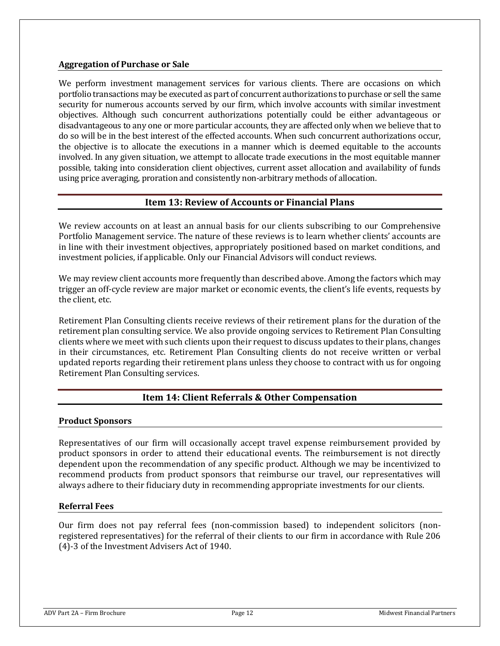#### **Aggregation of Purchase or Sale**

We perform investment management services for various clients. There are occasions on which portfolio transactions may be executed as part of concurrent authorizations to purchase or sell the same security for numerous accounts served by our firm, which involve accounts with similar investment objectives. Although such concurrent authorizations potentially could be either advantageous or disadvantageous to any one or more particular accounts, they are affected only when we believe that to do so will be in the best interest of the effected accounts. When such concurrent authorizations occur, the objective is to allocate the executions in a manner which is deemed equitable to the accounts involved. In any given situation, we attempt to allocate trade executions in the most equitable manner possible, taking into consideration client objectives, current asset allocation and availability of funds using price averaging, proration and consistently non-arbitrary methods of allocation.

# **Item 13: Review of Accounts or Financial Plans**

<span id="page-13-0"></span>We review accounts on at least an annual basis for our clients subscribing to our Comprehensive Portfolio Management service. The nature of these reviews is to learn whether clients' accounts are in line with their investment objectives, appropriately positioned based on market conditions, and investment policies, if applicable. Only our Financial Advisors will conduct reviews.

We may review client accounts more frequently than described above. Among the factors which may trigger an off-cycle review are major market or economic events, the client's life events, requests by the client, etc.

Retirement Plan Consulting clients receive reviews of their retirement plans for the duration of the retirement plan consulting service. We also provide ongoing services to Retirement Plan Consulting clients where we meet with such clients upon their request to discuss updates to their plans, changes in their circumstances, etc. Retirement Plan Consulting clients do not receive written or verbal updated reports regarding their retirement plans unless they choose to contract with us for ongoing Retirement Plan Consulting services.

# **Item 14: Client Referrals & Other Compensation**

#### <span id="page-13-1"></span>**Product Sponsors**

Representatives of our firm will occasionally accept travel expense reimbursement provided by product sponsors in order to attend their educational events. The reimbursement is not directly dependent upon the recommendation of any specific product. Although we may be incentivized to recommend products from product sponsors that reimburse our travel, our representatives will always adhere to their fiduciary duty in recommending appropriate investments for our clients.

#### **Referral Fees**

Our firm does not pay referral fees (non-commission based) to independent solicitors (nonregistered representatives) for the referral of their clients to our firm in accordance with Rule 206 (4)-3 of the Investment Advisers Act of 1940.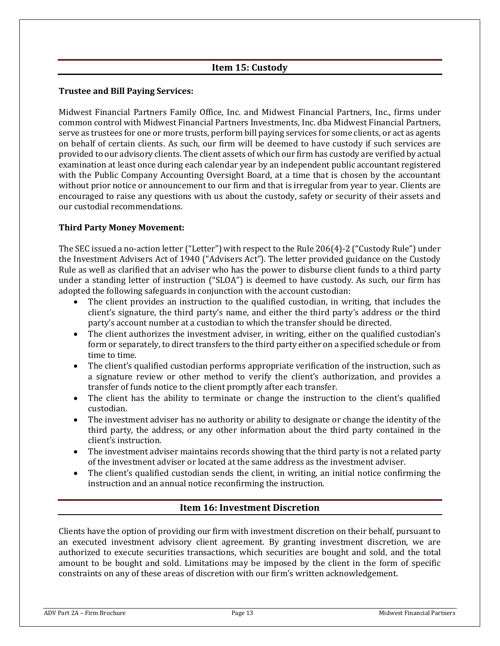# **Item 15: Custody**

## <span id="page-14-0"></span>**Trustee and Bill Paying Services:**

Midwest Financial Partners Family Office, Inc. and Midwest Financial Partners, Inc., firms under common control with Midwest Financial Partners Investments, Inc. dba Midwest Financial Partners, serve as trustees for one or more trusts, perform bill paying services for some clients, or act as agents on behalf of certain clients. As such, our firm will be deemed to have custody if such services are provided to our advisory clients. The client assets of which our firm has custody are verified by actual examination at least once during each calendar year by an independent public accountant registered with the Public Company Accounting Oversight Board, at a time that is chosen by the accountant without prior notice or announcement to our firm and that is irregular from year to year. Clients are encouraged to raise any questions with us about the custody, safety or security of their assets and our custodial recommendations.

## **Third Party Money Movement:**

The SEC issued a no‐action letter ("Letter") with respect to the Rule 206(4)‐2 ("Custody Rule") under the Investment Advisers Act of 1940 ("Advisers Act"). The letter provided guidance on the Custody Rule as well as clarified that an adviser who has the power to disburse client funds to a third party under a standing letter of instruction ("SLOA") is deemed to have custody. As such, our firm has adopted the following safeguards in conjunction with the account custodian:

- The client provides an instruction to the qualified custodian, in writing, that includes the client's signature, the third party's name, and either the third party's address or the third party's account number at a custodian to which the transfer should be directed.
- The client authorizes the investment adviser, in writing, either on the qualified custodian's form or separately, to direct transfers to the third party either on a specified schedule or from time to time.
- The client's qualified custodian performs appropriate verification of the instruction, such as a signature review or other method to verify the client's authorization, and provides a transfer of funds notice to the client promptly after each transfer.
- The client has the ability to terminate or change the instruction to the client's qualified custodian.
- The investment adviser has no authority or ability to designate or change the identity of the third party, the address, or any other information about the third party contained in the client's instruction.
- The investment adviser maintains records showing that the third party is not a related party of the investment adviser or located at the same address as the investment adviser.
- The client's qualified custodian sends the client, in writing, an initial notice confirming the instruction and an annual notice reconfirming the instruction.

# **Item 16: Investment Discretion**

<span id="page-14-1"></span>Clients have the option of providing our firm with investment discretion on their behalf, pursuant to an executed investment advisory client agreement. By granting investment discretion, we are authorized to execute securities transactions, which securities are bought and sold, and the total amount to be bought and sold. Limitations may be imposed by the client in the form of specific constraints on any of these areas of discretion with our firm's written acknowledgement.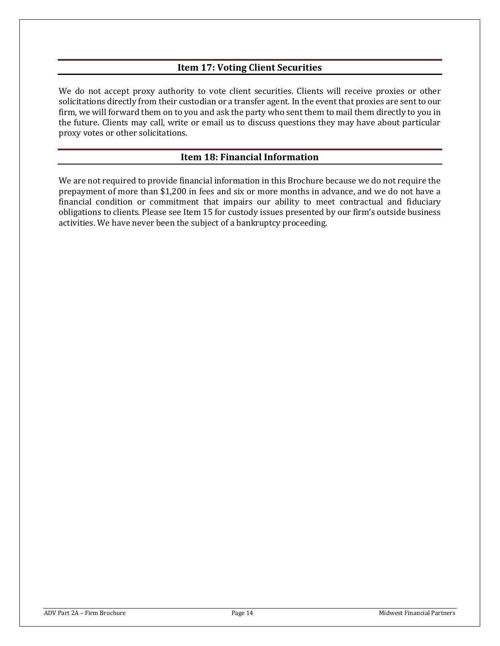# **Item 17: Voting Client Securities**

<span id="page-15-0"></span>We do not accept proxy authority to vote client securities. Clients will receive proxies or other solicitations directly from their custodian or a transfer agent. In the event that proxies are sent to our firm, we will forward them on to you and ask the party who sent them to mail them directly to you in the future. Clients may call, write or email us to discuss questions they may have about particular proxy votes or other solicitations.

## **Item 18: Financial Information**

<span id="page-15-1"></span>We are not required to provide financial information in this Brochure because we do not require the prepayment of more than \$1,200 in fees and six or more months in advance, and we do not have a financial condition or commitment that impairs our ability to meet contractual and fiduciary obligations to clients. Please see Item 15 for custody issues presented by our firm's outside business activities. We have never been the subject of a bankruptcy proceeding.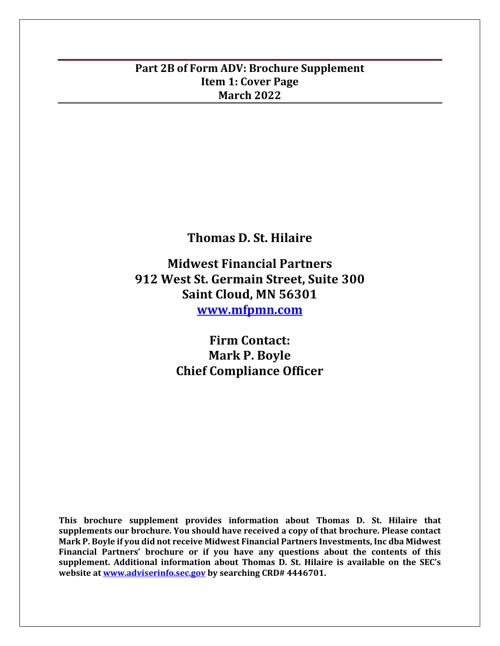# **Part 2B of Form ADV: Brochure Supplement Item 1: Cover Page March 2022**

**Thomas D. St. Hilaire**

**Midwest Financial Partners 912 West St. Germain Street, Suite 300 Saint Cloud, MN 56301 [www.mfpmn.com](http://www.mfpmn.com/)**

> **Firm Contact: Mark P. Boyle Chief Compliance Officer**

**This brochure supplement provides information about Thomas D. St. Hilaire that supplements our brochure. You should have received a copy of that brochure. Please contact Mark P. Boyle if you did not receive Midwest Financial Partners Investments, Inc dba Midwest Financial Partners' brochure or if you have any questions about the contents of this supplement. Additional information about Thomas D. St. Hilaire is available on the SEC's website at [www.adviserinfo.sec.gov](http://www.adviserinfo.sec.gov/) by searching CRD# 4446701.**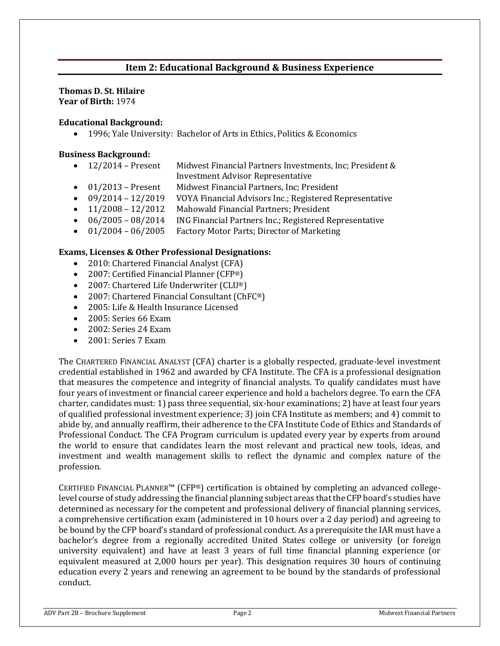# **Item 2: Educational Background & Business Experience**

#### **Thomas D. St. Hilaire Year of Birth:** 1974

#### **Educational Background:**

• 1996; Yale University: Bachelor of Arts in Ethics, Politics & Economics

#### **Business Background:**

- 12/2014 Present Midwest Financial Partners Investments, Inc; President & Investment Advisor Representative
- 01/2013 Present Midwest Financial Partners, Inc; President
- 09/2014 12/2019 VOYA Financial Advisors Inc.; Registered Representative
- 11/2008 12/2012 Mahowald Financial Partners; President
- 06/2005 08/2014 ING Financial Partners Inc.; Registered Representative
- 01/2004 06/2005 Factory Motor Parts; Director of Marketing

#### **Exams, Licenses & Other Professional Designations:**

- 2010: Chartered Financial Analyst (CFA)
- 2007: Certified Financial Planner (CFP®)
- 2007: Chartered Life Underwriter (CLU®)
- 2007: Chartered Financial Consultant (ChFC®)
- 2005: Life & Health Insurance Licensed
- 2005: Series 66 Exam
- 2002: Series 24 Exam
- 2001: Series 7 Exam

The CHARTERED FINANCIAL ANALYST (CFA) charter is a globally respected, graduate-level investment credential established in 1962 and awarded by CFA Institute. The CFA is a professional designation that measures the competence and integrity of financial analysts. To qualify candidates must have four years of investment or financial career experience and hold a bachelors degree. To earn the CFA charter, candidates must: 1) pass three sequential, six-hour examinations; 2) have at least four years of qualified professional investment experience; 3) join CFA Institute as members; and 4) commit to abide by, and annually reaffirm, their adherence to the CFA Institute Code of Ethics and Standards of Professional Conduct. The CFA Program curriculum is updated every year by experts from around the world to ensure that candidates learn the most relevant and practical new tools, ideas, and investment and wealth management skills to reflect the dynamic and complex nature of the profession.

CERTIFIED FINANCIAL PLANNER™ (CFP®) certification is obtained by completing an advanced collegelevel course of study addressing the financial planning subject areas that the CFP board's studies have determined as necessary for the competent and professional delivery of financial planning services, a comprehensive certification exam (administered in 10 hours over a 2 day period) and agreeing to be bound by the CFP board's standard of professional conduct. As a prerequisite the IAR must have a bachelor's degree from a regionally accredited United States college or university (or foreign university equivalent) and have at least 3 years of full time financial planning experience (or equivalent measured at 2,000 hours per year). This designation requires 30 hours of continuing education every 2 years and renewing an agreement to be bound by the standards of professional conduct.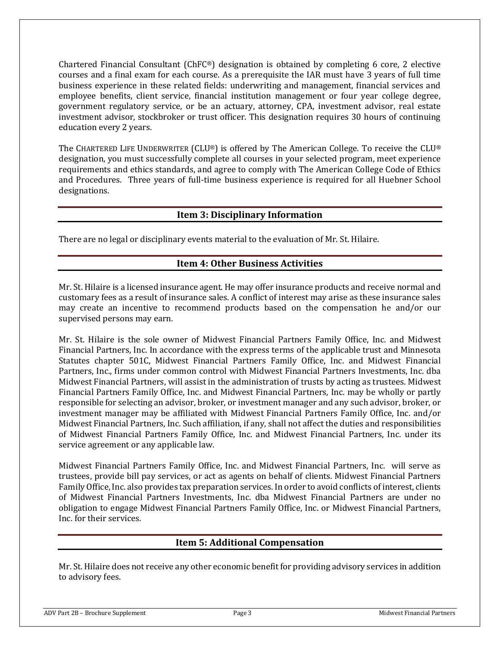Chartered Financial Consultant (ChFC®) designation is obtained by completing 6 core, 2 elective courses and a final exam for each course. As a prerequisite the IAR must have 3 years of full time business experience in these related fields: underwriting and management, financial services and employee benefits, client service, financial institution management or four year college degree, government regulatory service, or be an actuary, attorney, CPA, investment advisor, real estate investment advisor, stockbroker or trust officer. This designation requires 30 hours of continuing education every 2 years.

The CHARTERED LIFE UNDERWRITER (CLU®) is offered by The American College. To receive the CLU® designation, you must successfully complete all courses in your selected program, meet experience requirements and ethics standards, and agree to comply with The American College Code of Ethics and Procedures. Three years of full-time business experience is required for all Huebner School designations.

## **Item 3: Disciplinary Information**

There are no legal or disciplinary events material to the evaluation of Mr. St. Hilaire.

## **Item 4: Other Business Activities**

Mr. St. Hilaire is a licensed insurance agent. He may offer insurance products and receive normal and customary fees as a result of insurance sales. A conflict of interest may arise as these insurance sales may create an incentive to recommend products based on the compensation he and/or our supervised persons may earn.

Mr. St. Hilaire is the sole owner of Midwest Financial Partners Family Office, Inc. and Midwest Financial Partners, Inc. In accordance with the express terms of the applicable trust and Minnesota Statutes chapter 501C, Midwest Financial Partners Family Office, Inc. and Midwest Financial Partners, Inc., firms under common control with Midwest Financial Partners Investments, Inc. dba Midwest Financial Partners, will assist in the administration of trusts by acting as trustees. Midwest Financial Partners Family Office, Inc. and Midwest Financial Partners, Inc. may be wholly or partly responsible for selecting an advisor, broker, or investment manager and any such advisor, broker, or investment manager may be affiliated with Midwest Financial Partners Family Office, Inc. and/or Midwest Financial Partners, Inc. Such affiliation, if any, shall not affect the duties and responsibilities of Midwest Financial Partners Family Office, Inc. and Midwest Financial Partners, Inc. under its service agreement or any applicable law.

Midwest Financial Partners Family Office, Inc. and Midwest Financial Partners, Inc. will serve as trustees, provide bill pay services, or act as agents on behalf of clients. Midwest Financial Partners Family Office, Inc. also provides tax preparation services. In order to avoid conflicts of interest, clients of Midwest Financial Partners Investments, Inc. dba Midwest Financial Partners are under no obligation to engage Midwest Financial Partners Family Office, Inc. or Midwest Financial Partners, Inc. for their services.

## **Item 5: Additional Compensation**

Mr. St. Hilaire does not receive any other economic benefit for providing advisory services in addition to advisory fees.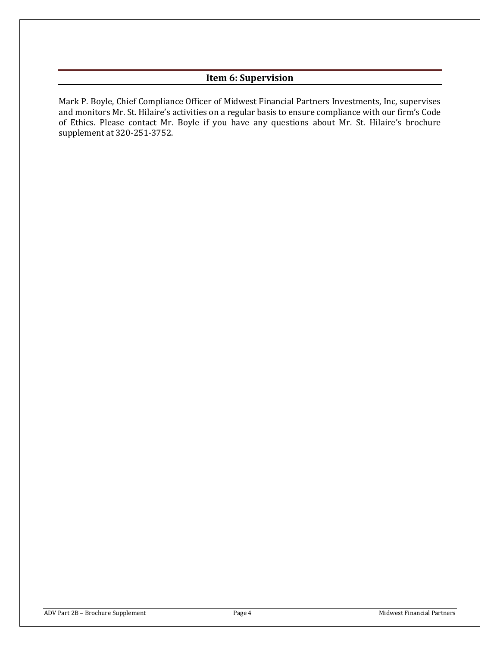# **Item 6: Supervision**

Mark P. Boyle, Chief Compliance Officer of Midwest Financial Partners Investments, Inc, supervises and monitors Mr. St. Hilaire's activities on a regular basis to ensure compliance with our firm's Code of Ethics. Please contact Mr. Boyle if you have any questions about Mr. St. Hilaire's brochure supplement at 320-251-3752.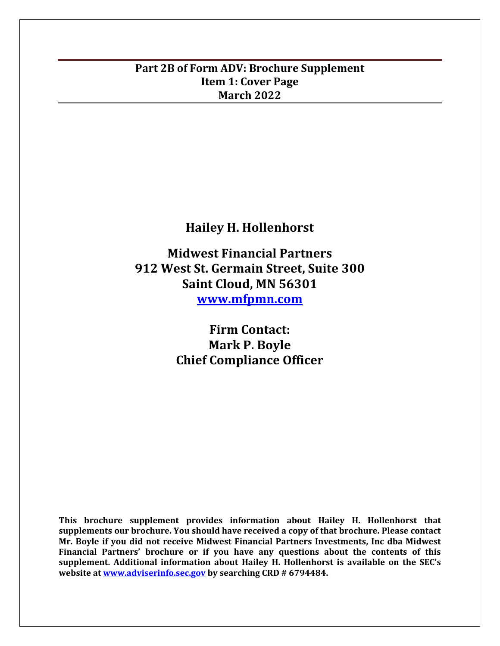# **Part 2B of Form ADV: Brochure Supplement Item 1: Cover Page March 2022**

**Hailey H. Hollenhorst**

**Midwest Financial Partners 912 West St. Germain Street, Suite 300 Saint Cloud, MN 56301 [www.mfpmn.com](http://www.mfpmn.com/)**

> **Firm Contact: Mark P. Boyle Chief Compliance Officer**

**This brochure supplement provides information about Hailey H. Hollenhorst that supplements our brochure. You should have received a copy of that brochure. Please contact Mr. Boyle if you did not receive Midwest Financial Partners Investments, Inc dba Midwest Financial Partners' brochure or if you have any questions about the contents of this supplement. Additional information about Hailey H. Hollenhorst is available on the SEC's website at [www.adviserinfo.sec.gov](http://www.adviserinfo.sec.gov/) by searching CRD # 6794484.**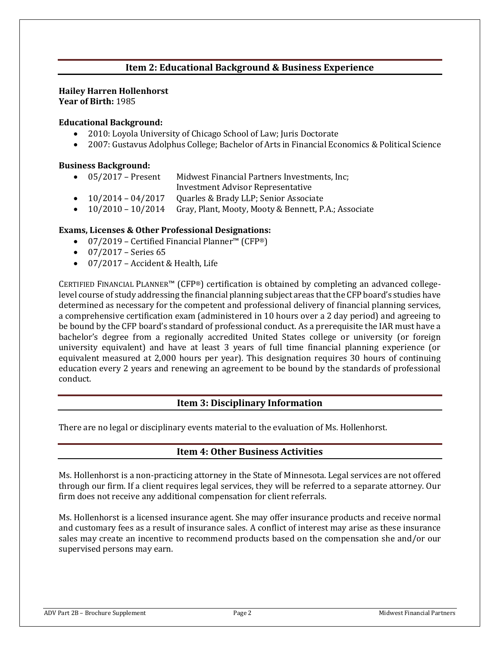# **Item 2: Educational Background & Business Experience**

#### **Hailey Harren Hollenhorst Year of Birth:** 1985

#### **Educational Background:**

- 2010: Loyola University of Chicago School of Law; Juris Doctorate
- 2007: Gustavus Adolphus College; Bachelor of Arts in Financial Economics & Political Science

#### **Business Background:**

- 05/2017 Present Midwest Financial Partners Investments, Inc;
- Investment Advisor Representative
- 10/2014 04/2017 Quarles & Brady LLP; Senior Associate
- 10/2010 10/2014 Gray, Plant, Mooty, Mooty & Bennett, P.A.; Associate

#### **Exams, Licenses & Other Professional Designations:**

- 07/2019 Certified Financial Planner™ (CFP®)
- $\bullet$  07/2017 Series 65
- 07/2017 Accident & Health, Life

CERTIFIED FINANCIAL PLANNER™ (CFP®) certification is obtained by completing an advanced collegelevel course of study addressing the financial planning subject areas that the CFP board's studies have determined as necessary for the competent and professional delivery of financial planning services, a comprehensive certification exam (administered in 10 hours over a 2 day period) and agreeing to be bound by the CFP board's standard of professional conduct. As a prerequisite the IAR must have a bachelor's degree from a regionally accredited United States college or university (or foreign university equivalent) and have at least 3 years of full time financial planning experience (or equivalent measured at 2,000 hours per year). This designation requires 30 hours of continuing education every 2 years and renewing an agreement to be bound by the standards of professional conduct.

#### **Item 3: Disciplinary Information**

There are no legal or disciplinary events material to the evaluation of Ms. Hollenhorst.

## **Item 4: Other Business Activities**

Ms. Hollenhorst is a non-practicing attorney in the State of Minnesota. Legal services are not offered through our firm. If a client requires legal services, they will be referred to a separate attorney. Our firm does not receive any additional compensation for client referrals.

Ms. Hollenhorst is a licensed insurance agent. She may offer insurance products and receive normal and customary fees as a result of insurance sales. A conflict of interest may arise as these insurance sales may create an incentive to recommend products based on the compensation she and/or our supervised persons may earn.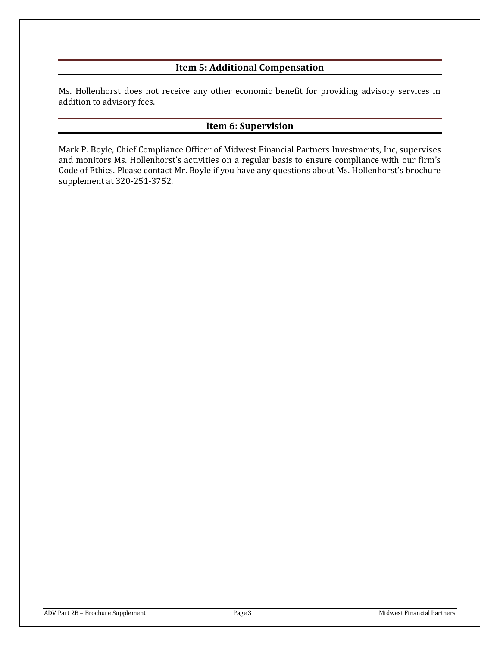# **Item 5: Additional Compensation**

Ms. Hollenhorst does not receive any other economic benefit for providing advisory services in addition to advisory fees.

## **Item 6: Supervision**

Mark P. Boyle, Chief Compliance Officer of Midwest Financial Partners Investments, Inc, supervises and monitors Ms. Hollenhorst's activities on a regular basis to ensure compliance with our firm's Code of Ethics. Please contact Mr. Boyle if you have any questions about Ms. Hollenhorst's brochure supplement at 320-251-3752.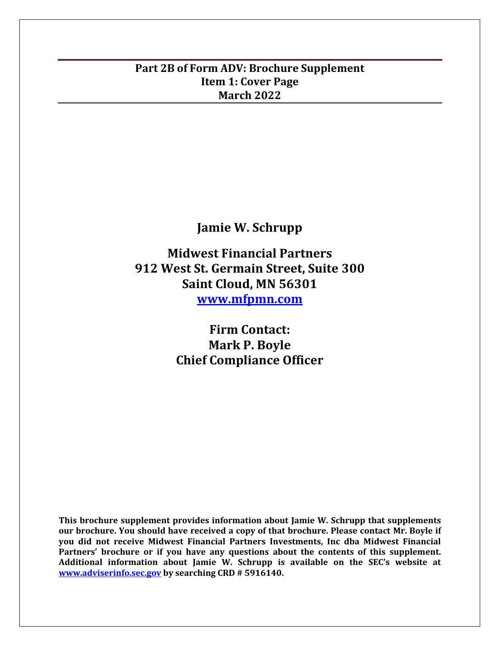# **Part 2B of Form ADV: Brochure Supplement Item 1: Cover Page March 2022**

**Jamie W. Schrupp**

**Midwest Financial Partners 912 West St. Germain Street, Suite 300 Saint Cloud, MN 56301 [www.mfpmn.com](http://www.mfpmn.com/)**

> **Firm Contact: Mark P. Boyle Chief Compliance Officer**

**This brochure supplement provides information about Jamie W. Schrupp that supplements our brochure. You should have received a copy of that brochure. Please contact Mr. Boyle if you did not receive Midwest Financial Partners Investments, Inc dba Midwest Financial Partners' brochure or if you have any questions about the contents of this supplement. Additional information about Jamie W. Schrupp is available on the SEC's website at [www.adviserinfo.sec.gov](http://www.adviserinfo.sec.gov/) by searching CRD # 5916140.**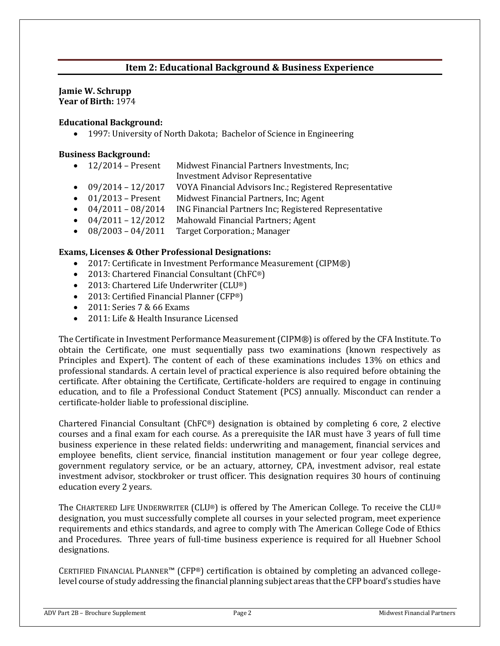# **Item 2: Educational Background & Business Experience**

#### **Jamie W. Schrupp Year of Birth:** 1974

**Educational Background:** 

• 1997: University of North Dakota; Bachelor of Science in Engineering

## **Business Background:**

| $12/2014$ – Present | Midwest Financial Partners Investments, Inc; |  |
|---------------------|----------------------------------------------|--|
|                     | .                                            |  |

- Investment Advisor Representative • 09/2014 - 12/2017 VOYA Financial Advisors Inc.; Registered Representative
- 01/2013 Present Midwest Financial Partners, Inc; Agent
- 04/2011 08/2014 ING Financial Partners Inc; Registered Representative
- 04/2011 12/2012 Mahowald Financial Partners; Agent
- 08/2003 04/2011 Target Corporation.; Manager

## **Exams, Licenses & Other Professional Designations:**

- 2017: Certificate in Investment Performance Measurement (CIPM®)
- 2013: Chartered Financial Consultant (ChFC<sup>®</sup>)
- 2013: Chartered Life Underwriter (CLU®)
- 2013: Certified Financial Planner (CFP®)
- 2011: Series 7 & 66 Exams
- 2011: Life & Health Insurance Licensed

The Certificate in Investment Performance Measurement (CIPM®) is offered by the CFA Institute. To obtain the Certificate, one must sequentially pass two examinations (known respectively as Principles and Expert). The content of each of these examinations includes 13% on ethics and professional standards. A certain level of practical experience is also required before obtaining the certificate. After obtaining the Certificate, Certificate-holders are required to engage in continuing education, and to file a Professional Conduct Statement (PCS) annually. Misconduct can render a certificate-holder liable to professional discipline.

Chartered Financial Consultant (ChFC®) designation is obtained by completing 6 core, 2 elective courses and a final exam for each course. As a prerequisite the IAR must have 3 years of full time business experience in these related fields: underwriting and management, financial services and employee benefits, client service, financial institution management or four year college degree, government regulatory service, or be an actuary, attorney, CPA, investment advisor, real estate investment advisor, stockbroker or trust officer. This designation requires 30 hours of continuing education every 2 years.

The CHARTERED LIFE UNDERWRITER (CLU®) is offered by The American College. To receive the CLU® designation, you must successfully complete all courses in your selected program, meet experience requirements and ethics standards, and agree to comply with The American College Code of Ethics and Procedures. Three years of full-time business experience is required for all Huebner School designations.

CERTIFIED FINANCIAL PLANNER™ (CFP®) certification is obtained by completing an advanced collegelevel course of study addressing the financial planning subject areas that the CFP board's studies have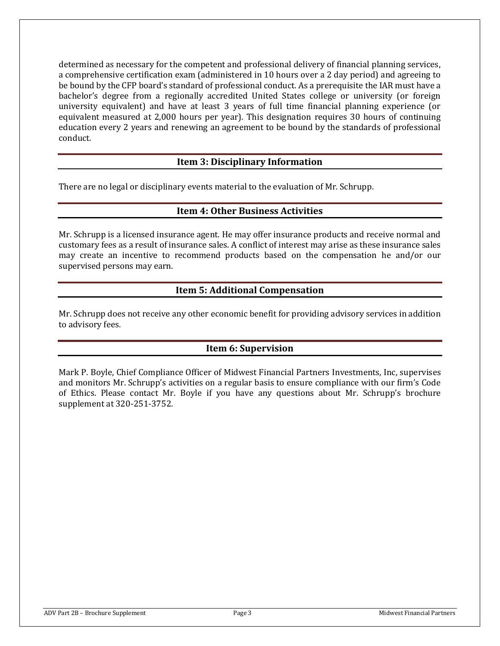determined as necessary for the competent and professional delivery of financial planning services, a comprehensive certification exam (administered in 10 hours over a 2 day period) and agreeing to be bound by the CFP board's standard of professional conduct. As a prerequisite the IAR must have a bachelor's degree from a regionally accredited United States college or university (or foreign university equivalent) and have at least 3 years of full time financial planning experience (or equivalent measured at 2,000 hours per year). This designation requires 30 hours of continuing education every 2 years and renewing an agreement to be bound by the standards of professional conduct.

## **Item 3: Disciplinary Information**

There are no legal or disciplinary events material to the evaluation of Mr. Schrupp.

## **Item 4: Other Business Activities**

Mr. Schrupp is a licensed insurance agent. He may offer insurance products and receive normal and customary fees as a result of insurance sales. A conflict of interest may arise as these insurance sales may create an incentive to recommend products based on the compensation he and/or our supervised persons may earn.

# **Item 5: Additional Compensation**

Mr. Schrupp does not receive any other economic benefit for providing advisory services in addition to advisory fees.

# **Item 6: Supervision**

Mark P. Boyle, Chief Compliance Officer of Midwest Financial Partners Investments, Inc, supervises and monitors Mr. Schrupp's activities on a regular basis to ensure compliance with our firm's Code of Ethics. Please contact Mr. Boyle if you have any questions about Mr. Schrupp's brochure supplement at 320-251-3752.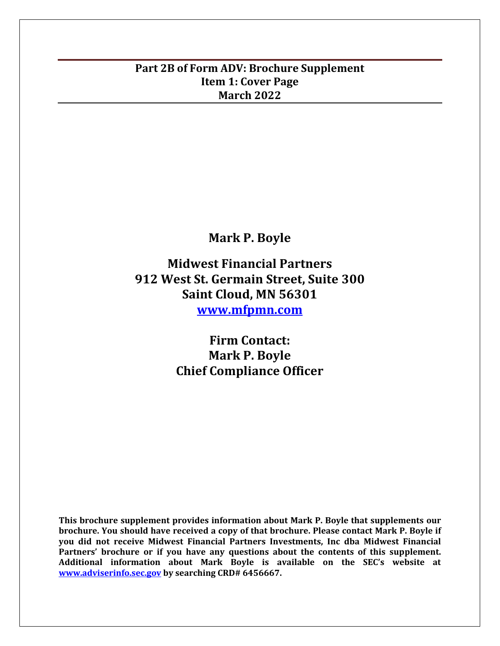# **Part 2B of Form ADV: Brochure Supplement Item 1: Cover Page March 2022**

# **Mark P. Boyle**

**Midwest Financial Partners 912 West St. Germain Street, Suite 300 Saint Cloud, MN 56301 [www.mfpmn.com](http://www.mfpmn.com/)**

> **Firm Contact: Mark P. Boyle Chief Compliance Officer**

**This brochure supplement provides information about Mark P. Boyle that supplements our brochure. You should have received a copy of that brochure. Please contact Mark P. Boyle if you did not receive Midwest Financial Partners Investments, Inc dba Midwest Financial Partners' brochure or if you have any questions about the contents of this supplement. Additional information about Mark Boyle is available on the SEC's website at [www.adviserinfo.sec.gov](http://www.adviserinfo.sec.gov/) by searching CRD# 6456667.**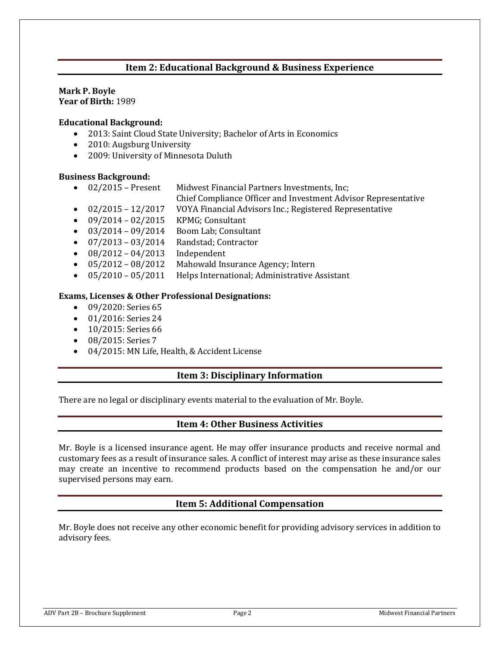# **Item 2: Educational Background & Business Experience**

# **Mark P. Boyle**

**Year of Birth:** 1989

#### **Educational Background:**

- 2013: Saint Cloud State University; Bachelor of Arts in Economics
- 2010: Augsburg University
- 2009: University of Minnesota Duluth

## **Business Background:**

- 02/2015 Present Midwest Financial Partners Investments, Inc;
	- Chief Compliance Officer and Investment Advisor Representative
- 02/2015 12/2017 VOYA Financial Advisors Inc.; Registered Representative
- $09/2014 02/2015$  KPMG; Consultant
- $\bullet$  03/2014 09/2014 Boom Lab; Consultant
- 07/2013 03/2014 Randstad; Contractor
- $08/2012 04/2013$  Independent
- 05/2012 08/2012 Mahowald Insurance Agency; Intern
- 05/2010 05/2011 Helps International; Administrative Assistant

## **Exams, Licenses & Other Professional Designations:**

- 09/2020: Series 65
- 01/2016: Series 24
- 10/2015: Series 66
- 08/2015: Series 7
- 04/2015: MN Life, Health, & Accident License

## **Item 3: Disciplinary Information**

There are no legal or disciplinary events material to the evaluation of Mr. Boyle.

## **Item 4: Other Business Activities**

Mr. Boyle is a licensed insurance agent. He may offer insurance products and receive normal and customary fees as a result of insurance sales. A conflict of interest may arise as these insurance sales may create an incentive to recommend products based on the compensation he and/or our supervised persons may earn.

## **Item 5: Additional Compensation**

Mr. Boyle does not receive any other economic benefit for providing advisory services in addition to advisory fees.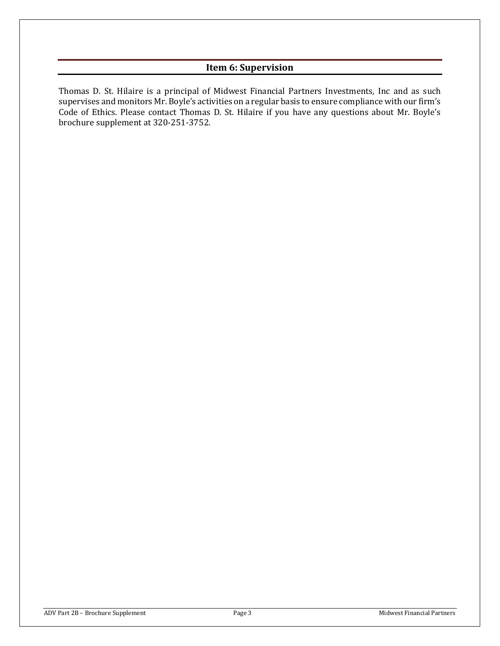# **Item 6: Supervision**

Thomas D. St. Hilaire is a principal of Midwest Financial Partners Investments, Inc and as such supervises and monitors Mr. Boyle's activities on a regular basis to ensure compliance with our firm's Code of Ethics. Please contact Thomas D. St. Hilaire if you have any questions about Mr. Boyle's brochure supplement at 320-251-3752.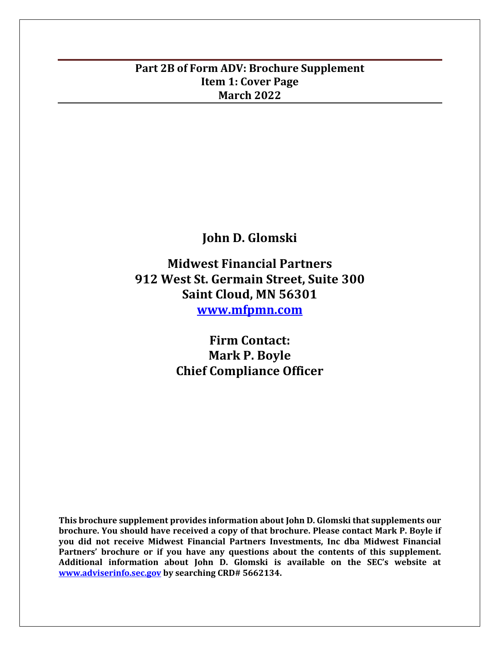# **Part 2B of Form ADV: Brochure Supplement Item 1: Cover Page March 2022**

**John D. Glomski**

**Midwest Financial Partners 912 West St. Germain Street, Suite 300 Saint Cloud, MN 56301 [www.mfpmn.com](http://www.mfpmn.com/)**

> **Firm Contact: Mark P. Boyle Chief Compliance Officer**

**This brochure supplement provides information about John D. Glomski that supplements our brochure. You should have received a copy of that brochure. Please contact Mark P. Boyle if you did not receive Midwest Financial Partners Investments, Inc dba Midwest Financial Partners' brochure or if you have any questions about the contents of this supplement. Additional information about John D. Glomski is available on the SEC's website at [www.adviserinfo.sec.gov](http://www.adviserinfo.sec.gov/) by searching CRD# 5662134.**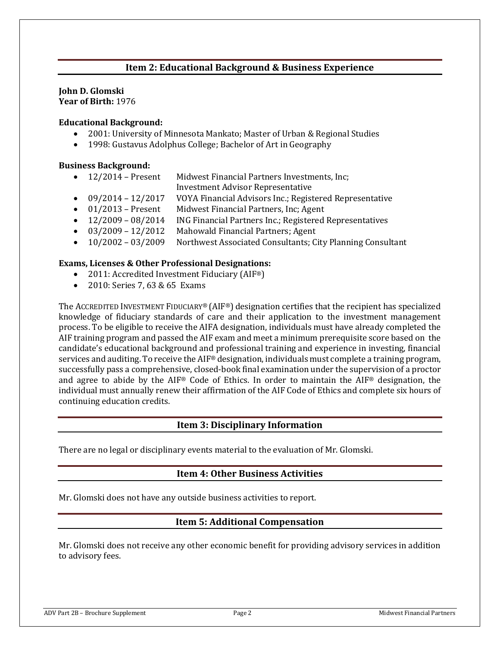# **Item 2: Educational Background & Business Experience**

#### **John D. Glomski Year of Birth:** 1976

#### **Educational Background:**

- 2001: University of Minnesota Mankato; Master of Urban & Regional Studies
- 1998: Gustavus Adolphus College; Bachelor of Art in Geography

#### **Business Background:**

- 12/2014 Present Midwest Financial Partners Investments, Inc;
	- Investment Advisor Representative
- 09/2014 12/2017 VOYA Financial Advisors Inc.; Registered Representative
- 01/2013 Present Midwest Financial Partners, Inc; Agent
- 12/2009 08/2014 ING Financial Partners Inc.; Registered Representatives
- 03/2009 12/2012 Mahowald Financial Partners; Agent
- 10/2002 03/2009 Northwest Associated Consultants; City Planning Consultant

#### **Exams, Licenses & Other Professional Designations:**

- 2011: Accredited Investment Fiduciary (AIF<sup>®</sup>)
- 2010: Series 7, 63 & 65 Exams

The ACCREDITED INVESTMENT FIDUCIARY® (AIF®) designation certifies that the recipient has specialized knowledge of fiduciary standards of care and their application to the investment management process. To be eligible to receive the AIFA designation, individuals must have already completed the AIF training program and passed the AIF exam and meet a minimum prerequisite score based on the candidate's educational background and professional training and experience in investing, financial services and auditing. To receive the AIF® designation, individuals must complete a training program, successfully pass a comprehensive, closed-book final examination under the supervision of a proctor and agree to abide by the AIF® Code of Ethics. In order to maintain the AIF® designation, the individual must annually renew their affirmation of the AIF Code of Ethics and complete six hours of continuing education credits.

## **Item 3: Disciplinary Information**

There are no legal or disciplinary events material to the evaluation of Mr. Glomski.

## **Item 4: Other Business Activities**

Mr. Glomski does not have any outside business activities to report.

## **Item 5: Additional Compensation**

Mr. Glomski does not receive any other economic benefit for providing advisory services in addition to advisory fees.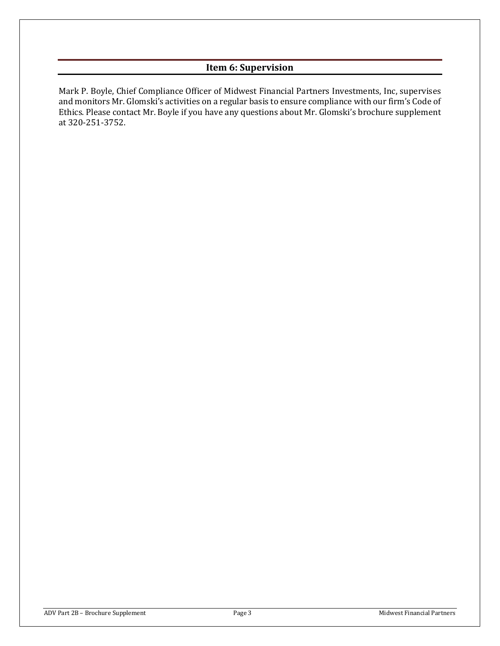# **Item 6: Supervision**

Mark P. Boyle, Chief Compliance Officer of Midwest Financial Partners Investments, Inc, supervises and monitors Mr. Glomski's activities on a regular basis to ensure compliance with our firm's Code of Ethics. Please contact Mr. Boyle if you have any questions about Mr. Glomski's brochure supplement at 320-251-3752.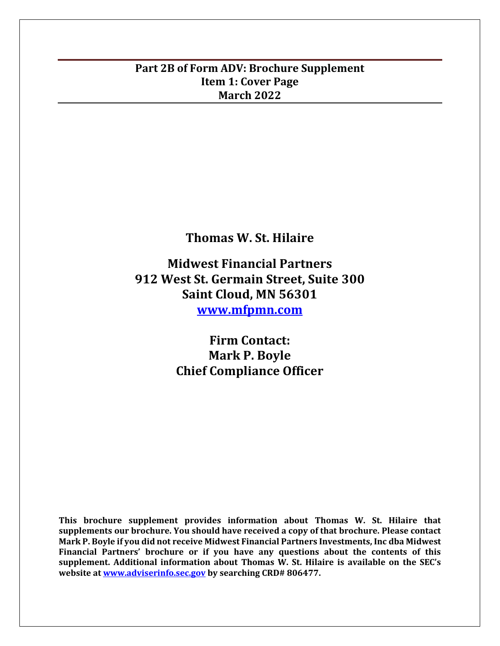# **Part 2B of Form ADV: Brochure Supplement Item 1: Cover Page March 2022**

**Thomas W. St. Hilaire**

**Midwest Financial Partners 912 West St. Germain Street, Suite 300 Saint Cloud, MN 56301 [www.mfpmn.com](http://www.mfpmn.com/)**

> **Firm Contact: Mark P. Boyle Chief Compliance Officer**

**This brochure supplement provides information about Thomas W. St. Hilaire that supplements our brochure. You should have received a copy of that brochure. Please contact Mark P. Boyle if you did not receive Midwest Financial Partners Investments, Inc dba Midwest Financial Partners' brochure or if you have any questions about the contents of this supplement. Additional information about Thomas W. St. Hilaire is available on the SEC's website at [www.adviserinfo.sec.gov](http://www.adviserinfo.sec.gov/) by searching CRD# 806477.**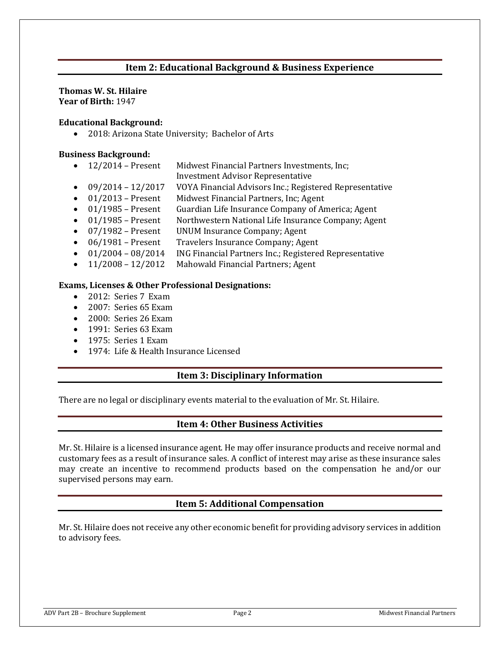# **Item 2: Educational Background & Business Experience**

#### **Thomas W. St. Hilaire Year of Birth:** 1947

#### **Educational Background:**

• 2018: Arizona State University; Bachelor of Arts

#### **Business Background:**

- 12/2014 Present Midwest Financial Partners Investments, Inc;
	- Investment Advisor Representative
- 09/2014 12/2017 VOYA Financial Advisors Inc.; Registered Representative
- 01/2013 Present Midwest Financial Partners, Inc; Agent
- 01/1985 Present Guardian Life Insurance Company of America; Agent
- 01/1985 Present Northwestern National Life Insurance Company; Agent
- 07/1982 Present UNUM Insurance Company; Agent
- 06/1981 Present Travelers Insurance Company; Agent
- 01/2004 08/2014 ING Financial Partners Inc.; Registered Representative
- 11/2008 12/2012 Mahowald Financial Partners; Agent

#### **Exams, Licenses & Other Professional Designations:**

- 2012: Series 7 Exam
- 2007: Series 65 Exam
- 2000: Series 26 Exam
- 1991: Series 63 Exam
- 1975: Series 1 Exam
- 1974: Life & Health Insurance Licensed

#### **Item 3: Disciplinary Information**

There are no legal or disciplinary events material to the evaluation of Mr. St. Hilaire.

## **Item 4: Other Business Activities**

Mr. St. Hilaire is a licensed insurance agent. He may offer insurance products and receive normal and customary fees as a result of insurance sales. A conflict of interest may arise as these insurance sales may create an incentive to recommend products based on the compensation he and/or our supervised persons may earn.

## **Item 5: Additional Compensation**

Mr. St. Hilaire does not receive any other economic benefit for providing advisory services in addition to advisory fees.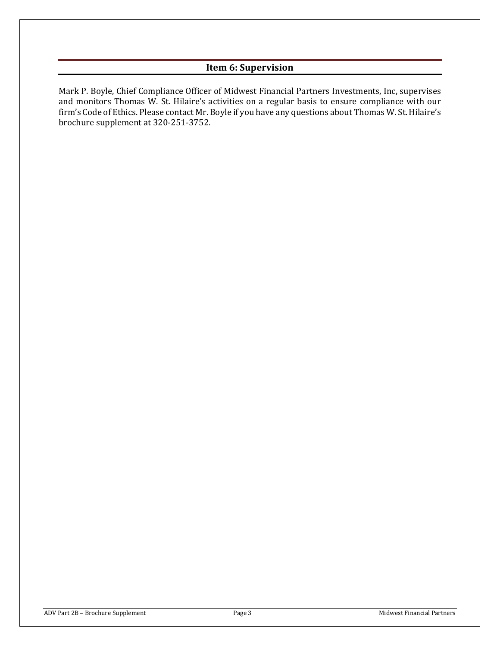# **Item 6: Supervision**

Mark P. Boyle, Chief Compliance Officer of Midwest Financial Partners Investments, Inc, supervises and monitors Thomas W. St. Hilaire's activities on a regular basis to ensure compliance with our firm's Code of Ethics. Please contact Mr. Boyle if you have any questions about Thomas W. St. Hilaire's brochure supplement at 320-251-3752.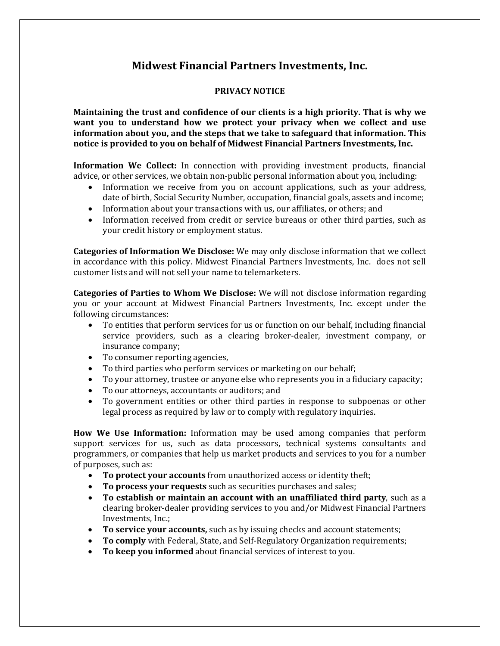# **Midwest Financial Partners Investments, Inc.**

## **PRIVACY NOTICE**

**Maintaining the trust and confidence of our clients is a high priority. That is why we want you to understand how we protect your privacy when we collect and use information about you, and the steps that we take to safeguard that information. This notice is provided to you on behalf of Midwest Financial Partners Investments, Inc.**

**Information We Collect:** In connection with providing investment products, financial advice, or other services, we obtain non-public personal information about you, including:

- Information we receive from you on account applications, such as your address, date of birth, Social Security Number, occupation, financial goals, assets and income;
- Information about your transactions with us, our affiliates, or others; and
- Information received from credit or service bureaus or other third parties, such as your credit history or employment status.

**Categories of Information We Disclose:** We may only disclose information that we collect in accordance with this policy. Midwest Financial Partners Investments, Inc. does not sell customer lists and will not sell your name to telemarketers.

**Categories of Parties to Whom We Disclose:** We will not disclose information regarding you or your account at Midwest Financial Partners Investments, Inc. except under the following circumstances:

- To entities that perform services for us or function on our behalf, including financial service providers, such as a clearing broker-dealer, investment company, or insurance company;
- To consumer reporting agencies,
- To third parties who perform services or marketing on our behalf;
- To your attorney, trustee or anyone else who represents you in a fiduciary capacity;
- To our attorneys, accountants or auditors; and
- To government entities or other third parties in response to subpoenas or other legal process as required by law or to comply with regulatory inquiries.

**How We Use Information:** Information may be used among companies that perform support services for us, such as data processors, technical systems consultants and programmers, or companies that help us market products and services to you for a number of purposes, such as:

- **To protect your accounts** from unauthorized access or identity theft;
- **To process your requests** such as securities purchases and sales;
- **To establish or maintain an account with an unaffiliated third party**, such as a clearing broker-dealer providing services to you and/or Midwest Financial Partners Investments, Inc.;
- **To service your accounts,** such as by issuing checks and account statements;
- **To comply** with Federal, State, and Self-Regulatory Organization requirements;
- **To keep you informed** about financial services of interest to you.